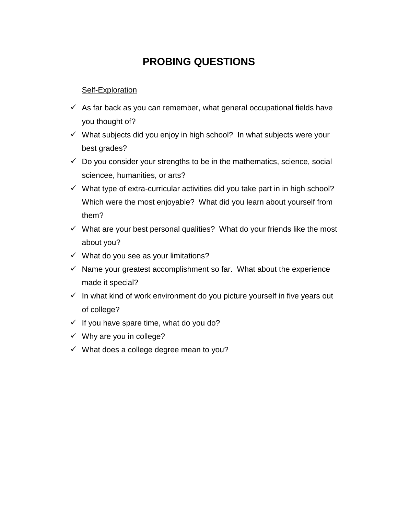## **PROBING QUESTIONS**

## Self-Exploration

- $\checkmark$  As far back as you can remember, what general occupational fields have you thought of?
- $\checkmark$  What subjects did you enjoy in high school? In what subjects were your best grades?
- $\checkmark$  Do you consider your strengths to be in the mathematics, science, social sciencee, humanities, or arts?
- $\checkmark$  What type of extra-curricular activities did you take part in in high school? Which were the most enjoyable? What did you learn about yourself from them?
- $\checkmark$  What are your best personal qualities? What do your friends like the most about you?
- $\checkmark$  What do you see as your limitations?
- $\checkmark$  Name your greatest accomplishment so far. What about the experience made it special?
- $\checkmark$  In what kind of work environment do you picture yourself in five years out of college?
- $\checkmark$  If you have spare time, what do you do?
- $\checkmark$  Why are you in college?
- $\checkmark$  What does a college degree mean to you?